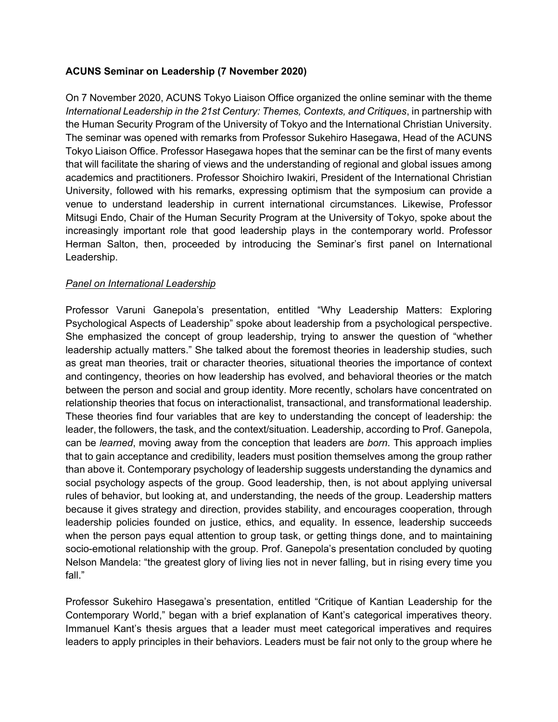## **ACUNS Seminar on Leadership (7 November 2020)**

On 7 November 2020, ACUNS Tokyo Liaison Office organized the online seminar with the theme *International Leadership in the 21st Century: Themes, Contexts, and Critiques*, in partnership with the Human Security Program of the University of Tokyo and the International Christian University. The seminar was opened with remarks from Professor Sukehiro Hasegawa, Head of the ACUNS Tokyo Liaison Office. Professor Hasegawa hopes that the seminar can be the first of many events that will facilitate the sharing of views and the understanding of regional and global issues among academics and practitioners. Professor Shoichiro Iwakiri, President of the International Christian University, followed with his remarks, expressing optimism that the symposium can provide a venue to understand leadership in current international circumstances. Likewise, Professor Mitsugi Endo, Chair of the Human Security Program at the University of Tokyo, spoke about the increasingly important role that good leadership plays in the contemporary world. Professor Herman Salton, then, proceeded by introducing the Seminar's first panel on International Leadership.

## *Panel on International Leadership*

Professor Varuni Ganepola's presentation, entitled "Why Leadership Matters: Exploring Psychological Aspects of Leadership" spoke about leadership from a psychological perspective. She emphasized the concept of group leadership, trying to answer the question of "whether leadership actually matters." She talked about the foremost theories in leadership studies, such as great man theories, trait or character theories, situational theories the importance of context and contingency, theories on how leadership has evolved, and behavioral theories or the match between the person and social and group identity. More recently, scholars have concentrated on relationship theories that focus on interactionalist, transactional, and transformational leadership. These theories find four variables that are key to understanding the concept of leadership: the leader, the followers, the task, and the context/situation. Leadership, according to Prof. Ganepola, can be *learned*, moving away from the conception that leaders are *born*. This approach implies that to gain acceptance and credibility, leaders must position themselves among the group rather than above it. Contemporary psychology of leadership suggests understanding the dynamics and social psychology aspects of the group. Good leadership, then, is not about applying universal rules of behavior, but looking at, and understanding, the needs of the group. Leadership matters because it gives strategy and direction, provides stability, and encourages cooperation, through leadership policies founded on justice, ethics, and equality. In essence, leadership succeeds when the person pays equal attention to group task, or getting things done, and to maintaining socio-emotional relationship with the group. Prof. Ganepola's presentation concluded by quoting Nelson Mandela: "the greatest glory of living lies not in never falling, but in rising every time you fall."

Professor Sukehiro Hasegawa's presentation, entitled "Critique of Kantian Leadership for the Contemporary World," began with a brief explanation of Kant's categorical imperatives theory. Immanuel Kant's thesis argues that a leader must meet categorical imperatives and requires leaders to apply principles in their behaviors. Leaders must be fair not only to the group where he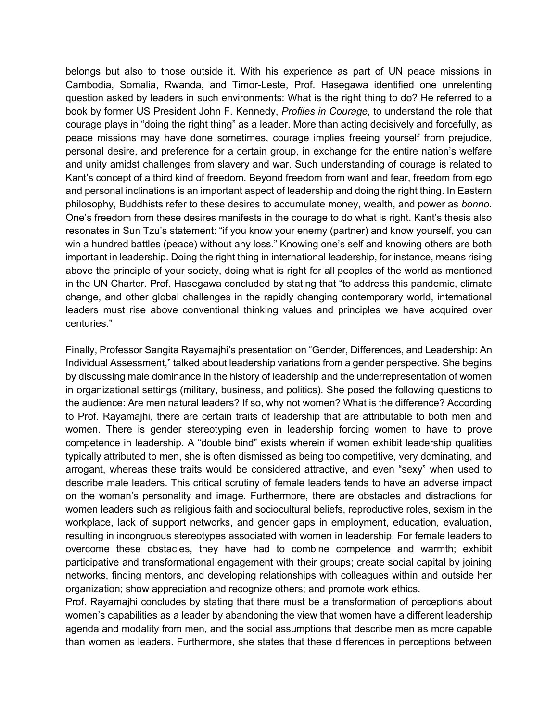belongs but also to those outside it. With his experience as part of UN peace missions in Cambodia, Somalia, Rwanda, and Timor-Leste, Prof. Hasegawa identified one unrelenting question asked by leaders in such environments: What is the right thing to do? He referred to a book by former US President John F. Kennedy, *Profiles in Courage*, to understand the role that courage plays in "doing the right thing" as a leader. More than acting decisively and forcefully, as peace missions may have done sometimes, courage implies freeing yourself from prejudice, personal desire, and preference for a certain group, in exchange for the entire nation's welfare and unity amidst challenges from slavery and war. Such understanding of courage is related to Kant's concept of a third kind of freedom. Beyond freedom from want and fear, freedom from ego and personal inclinations is an important aspect of leadership and doing the right thing. In Eastern philosophy, Buddhists refer to these desires to accumulate money, wealth, and power as *bonno*. One's freedom from these desires manifests in the courage to do what is right. Kant's thesis also resonates in Sun Tzu's statement: "if you know your enemy (partner) and know yourself, you can win a hundred battles (peace) without any loss." Knowing one's self and knowing others are both important in leadership. Doing the right thing in international leadership, for instance, means rising above the principle of your society, doing what is right for all peoples of the world as mentioned in the UN Charter. Prof. Hasegawa concluded by stating that "to address this pandemic, climate change, and other global challenges in the rapidly changing contemporary world, international leaders must rise above conventional thinking values and principles we have acquired over centuries."

Finally, Professor Sangita Rayamajhi's presentation on "Gender, Differences, and Leadership: An Individual Assessment," talked about leadership variations from a gender perspective. She begins by discussing male dominance in the history of leadership and the underrepresentation of women in organizational settings (military, business, and politics). She posed the following questions to the audience: Are men natural leaders? If so, why not women? What is the difference? According to Prof. Rayamajhi, there are certain traits of leadership that are attributable to both men and women. There is gender stereotyping even in leadership forcing women to have to prove competence in leadership. A "double bind" exists wherein if women exhibit leadership qualities typically attributed to men, she is often dismissed as being too competitive, very dominating, and arrogant, whereas these traits would be considered attractive, and even "sexy" when used to describe male leaders. This critical scrutiny of female leaders tends to have an adverse impact on the woman's personality and image. Furthermore, there are obstacles and distractions for women leaders such as religious faith and sociocultural beliefs, reproductive roles, sexism in the workplace, lack of support networks, and gender gaps in employment, education, evaluation, resulting in incongruous stereotypes associated with women in leadership. For female leaders to overcome these obstacles, they have had to combine competence and warmth; exhibit participative and transformational engagement with their groups; create social capital by joining networks, finding mentors, and developing relationships with colleagues within and outside her organization; show appreciation and recognize others; and promote work ethics.

Prof. Rayamajhi concludes by stating that there must be a transformation of perceptions about women's capabilities as a leader by abandoning the view that women have a different leadership agenda and modality from men, and the social assumptions that describe men as more capable than women as leaders. Furthermore, she states that these differences in perceptions between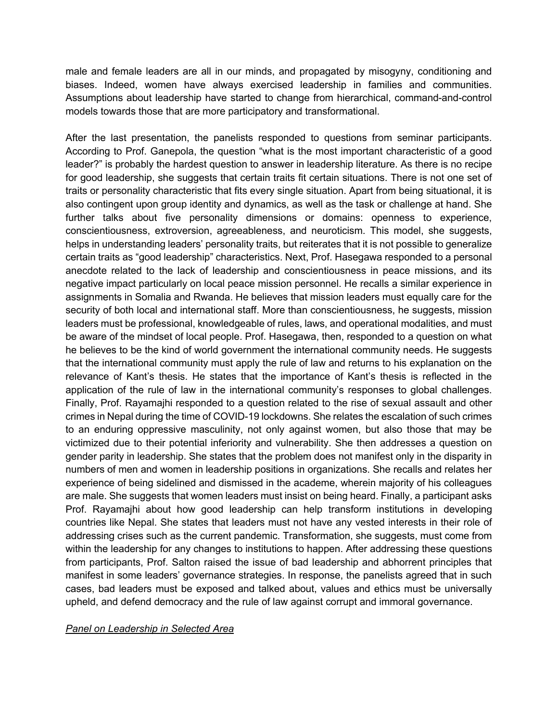male and female leaders are all in our minds, and propagated by misogyny, conditioning and biases. Indeed, women have always exercised leadership in families and communities. Assumptions about leadership have started to change from hierarchical, command-and-control models towards those that are more participatory and transformational.

After the last presentation, the panelists responded to questions from seminar participants. According to Prof. Ganepola, the question "what is the most important characteristic of a good leader?" is probably the hardest question to answer in leadership literature. As there is no recipe for good leadership, she suggests that certain traits fit certain situations. There is not one set of traits or personality characteristic that fits every single situation. Apart from being situational, it is also contingent upon group identity and dynamics, as well as the task or challenge at hand. She further talks about five personality dimensions or domains: openness to experience, conscientiousness, extroversion, agreeableness, and neuroticism. This model, she suggests, helps in understanding leaders' personality traits, but reiterates that it is not possible to generalize certain traits as "good leadership" characteristics. Next, Prof. Hasegawa responded to a personal anecdote related to the lack of leadership and conscientiousness in peace missions, and its negative impact particularly on local peace mission personnel. He recalls a similar experience in assignments in Somalia and Rwanda. He believes that mission leaders must equally care for the security of both local and international staff. More than conscientiousness, he suggests, mission leaders must be professional, knowledgeable of rules, laws, and operational modalities, and must be aware of the mindset of local people. Prof. Hasegawa, then, responded to a question on what he believes to be the kind of world government the international community needs. He suggests that the international community must apply the rule of law and returns to his explanation on the relevance of Kant's thesis. He states that the importance of Kant's thesis is reflected in the application of the rule of law in the international community's responses to global challenges. Finally, Prof. Rayamajhi responded to a question related to the rise of sexual assault and other crimes in Nepal during the time of COVID-19 lockdowns. She relates the escalation of such crimes to an enduring oppressive masculinity, not only against women, but also those that may be victimized due to their potential inferiority and vulnerability. She then addresses a question on gender parity in leadership. She states that the problem does not manifest only in the disparity in numbers of men and women in leadership positions in organizations. She recalls and relates her experience of being sidelined and dismissed in the academe, wherein majority of his colleagues are male. She suggests that women leaders must insist on being heard. Finally, a participant asks Prof. Rayamajhi about how good leadership can help transform institutions in developing countries like Nepal. She states that leaders must not have any vested interests in their role of addressing crises such as the current pandemic. Transformation, she suggests, must come from within the leadership for any changes to institutions to happen. After addressing these questions from participants, Prof. Salton raised the issue of bad leadership and abhorrent principles that manifest in some leaders' governance strategies. In response, the panelists agreed that in such cases, bad leaders must be exposed and talked about, values and ethics must be universally upheld, and defend democracy and the rule of law against corrupt and immoral governance.

## *Panel on Leadership in Selected Area*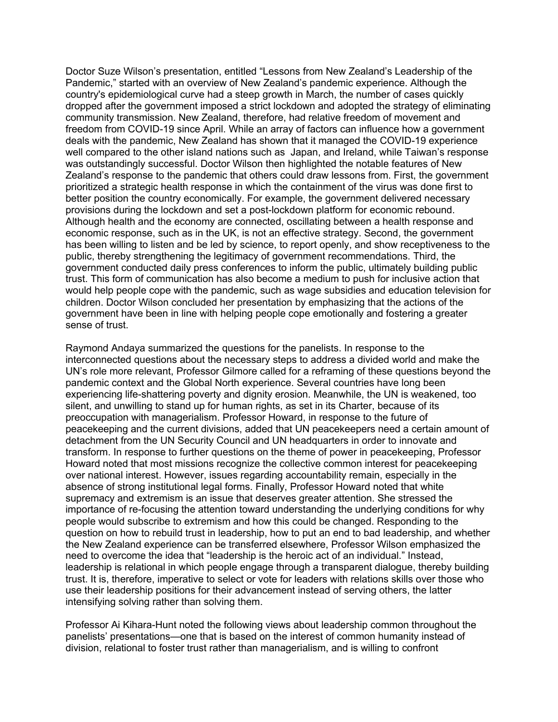Doctor Suze Wilson's presentation, entitled "Lessons from New Zealand's Leadership of the Pandemic," started with an overview of New Zealand's pandemic experience. Although the country's epidemiological curve had a steep growth in March, the number of cases quickly dropped after the government imposed a strict lockdown and adopted the strategy of eliminating community transmission. New Zealand, therefore, had relative freedom of movement and freedom from COVID-19 since April. While an array of factors can influence how a government deals with the pandemic, New Zealand has shown that it managed the COVID-19 experience well compared to the other island nations such as Japan, and Ireland, while Taiwan's response was outstandingly successful. Doctor Wilson then highlighted the notable features of New Zealand's response to the pandemic that others could draw lessons from. First, the government prioritized a strategic health response in which the containment of the virus was done first to better position the country economically. For example, the government delivered necessary provisions during the lockdown and set a post-lockdown platform for economic rebound. Although health and the economy are connected, oscillating between a health response and economic response, such as in the UK, is not an effective strategy. Second, the government has been willing to listen and be led by science, to report openly, and show receptiveness to the public, thereby strengthening the legitimacy of government recommendations. Third, the government conducted daily press conferences to inform the public, ultimately building public trust. This form of communication has also become a medium to push for inclusive action that would help people cope with the pandemic, such as wage subsidies and education television for children. Doctor Wilson concluded her presentation by emphasizing that the actions of the government have been in line with helping people cope emotionally and fostering a greater sense of trust.

Raymond Andaya summarized the questions for the panelists. In response to the interconnected questions about the necessary steps to address a divided world and make the UN's role more relevant, Professor Gilmore called for a reframing of these questions beyond the pandemic context and the Global North experience. Several countries have long been experiencing life-shattering poverty and dignity erosion. Meanwhile, the UN is weakened, too silent, and unwilling to stand up for human rights, as set in its Charter, because of its preoccupation with managerialism. Professor Howard, in response to the future of peacekeeping and the current divisions, added that UN peacekeepers need a certain amount of detachment from the UN Security Council and UN headquarters in order to innovate and transform. In response to further questions on the theme of power in peacekeeping, Professor Howard noted that most missions recognize the collective common interest for peacekeeping over national interest. However, issues regarding accountability remain, especially in the absence of strong institutional legal forms. Finally, Professor Howard noted that white supremacy and extremism is an issue that deserves greater attention. She stressed the importance of re-focusing the attention toward understanding the underlying conditions for why people would subscribe to extremism and how this could be changed. Responding to the question on how to rebuild trust in leadership, how to put an end to bad leadership, and whether the New Zealand experience can be transferred elsewhere, Professor Wilson emphasized the need to overcome the idea that "leadership is the heroic act of an individual." Instead, leadership is relational in which people engage through a transparent dialogue, thereby building trust. It is, therefore, imperative to select or vote for leaders with relations skills over those who use their leadership positions for their advancement instead of serving others, the latter intensifying solving rather than solving them.

Professor Ai Kihara-Hunt noted the following views about leadership common throughout the panelists' presentations—one that is based on the interest of common humanity instead of division, relational to foster trust rather than managerialism, and is willing to confront